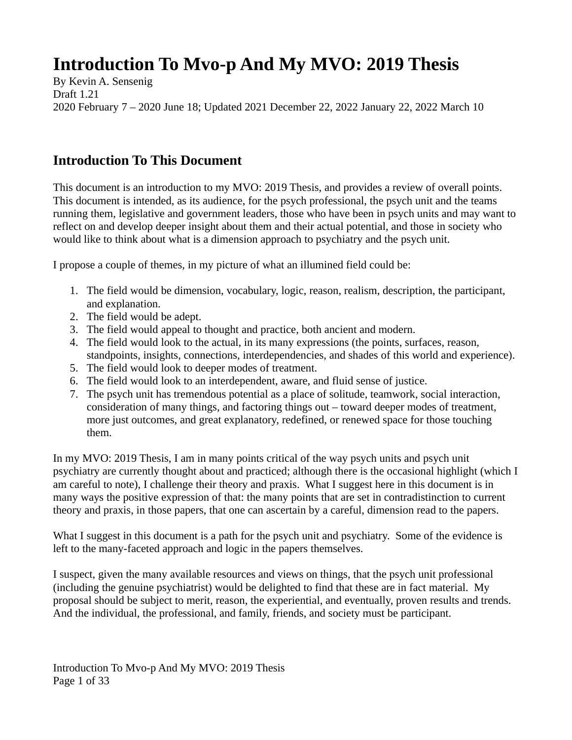# **Introduction To Mvo-p And My MVO: 2019 Thesis**

By Kevin A. Sensenig Draft 1.21 2020 February 7 – 2020 June 18; Updated 2021 December 22, 2022 January 22, 2022 March 10

### **Introduction To This Document**

This document is an introduction to my MVO: 2019 Thesis, and provides a review of overall points. This document is intended, as its audience, for the psych professional, the psych unit and the teams running them, legislative and government leaders, those who have been in psych units and may want to reflect on and develop deeper insight about them and their actual potential, and those in society who would like to think about what is a dimension approach to psychiatry and the psych unit.

I propose a couple of themes, in my picture of what an illumined field could be:

- 1. The field would be dimension, vocabulary, logic, reason, realism, description, the participant, and explanation.
- 2. The field would be adept.
- 3. The field would appeal to thought and practice, both ancient and modern.
- 4. The field would look to the actual, in its many expressions (the points, surfaces, reason, standpoints, insights, connections, interdependencies, and shades of this world and experience).
- 5. The field would look to deeper modes of treatment.
- 6. The field would look to an interdependent, aware, and fluid sense of justice.
- 7. The psych unit has tremendous potential as a place of solitude, teamwork, social interaction, consideration of many things, and factoring things out – toward deeper modes of treatment, more just outcomes, and great explanatory, redefined, or renewed space for those touching them.

In my MVO: 2019 Thesis, I am in many points critical of the way psych units and psych unit psychiatry are currently thought about and practiced; although there is the occasional highlight (which I am careful to note), I challenge their theory and praxis. What I suggest here in this document is in many ways the positive expression of that: the many points that are set in contradistinction to current theory and praxis, in those papers, that one can ascertain by a careful, dimension read to the papers.

What I suggest in this document is a path for the psych unit and psychiatry. Some of the evidence is left to the many-faceted approach and logic in the papers themselves.

I suspect, given the many available resources and views on things, that the psych unit professional (including the genuine psychiatrist) would be delighted to find that these are in fact material. My proposal should be subject to merit, reason, the experiential, and eventually, proven results and trends. And the individual, the professional, and family, friends, and society must be participant.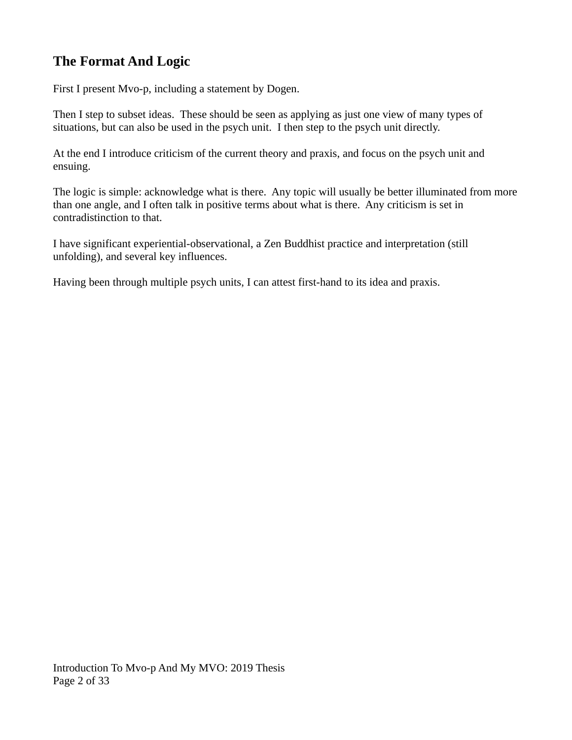### **The Format And Logic**

First I present Mvo-p, including a statement by Dogen.

Then I step to subset ideas. These should be seen as applying as just one view of many types of situations, but can also be used in the psych unit. I then step to the psych unit directly.

At the end I introduce criticism of the current theory and praxis, and focus on the psych unit and ensuing.

The logic is simple: acknowledge what is there. Any topic will usually be better illuminated from more than one angle, and I often talk in positive terms about what is there. Any criticism is set in contradistinction to that.

I have significant experiential-observational, a Zen Buddhist practice and interpretation (still unfolding), and several key influences.

Having been through multiple psych units, I can attest first-hand to its idea and praxis.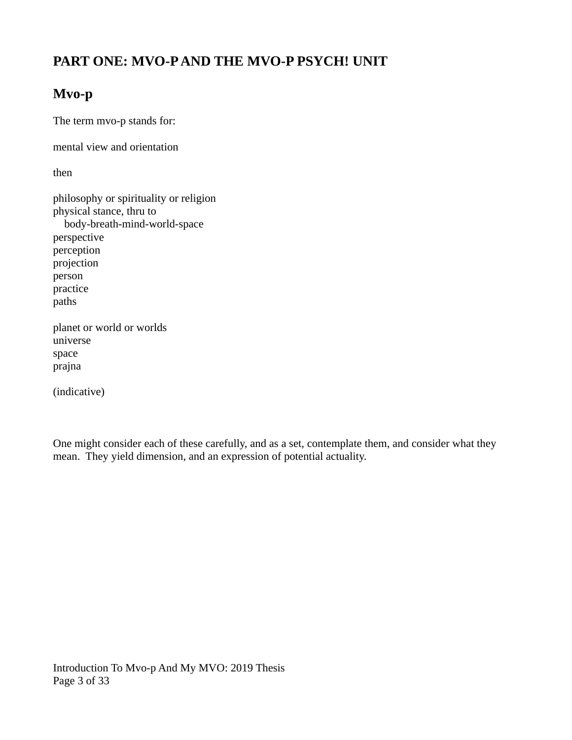### **PART ONE: MVO-P AND THE MVO-P PSYCH! UNIT**

### **Mvo-p**

The term mvo-p stands for:

mental view and orientation

then

philosophy or spirituality or religion physical stance, thru to body-breath-mind-world-space perspective perception projection person practice paths planet or world or worlds universe space prajna

(indicative)

One might consider each of these carefully, and as a set, contemplate them, and consider what they mean. They yield dimension, and an expression of potential actuality.

Introduction To Mvo-p And My MVO: 2019 Thesis Page 3 of 33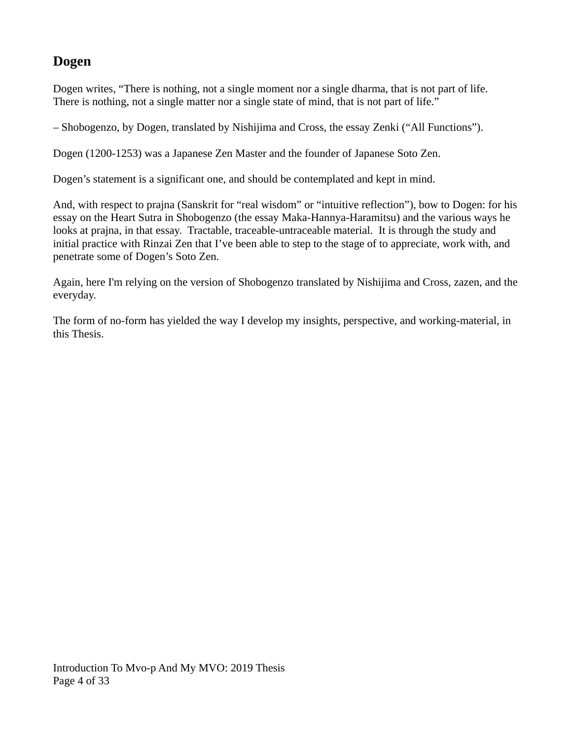### **Dogen**

Dogen writes, "There is nothing, not a single moment nor a single dharma, that is not part of life. There is nothing, not a single matter nor a single state of mind, that is not part of life."

– Shobogenzo, by Dogen, translated by Nishijima and Cross, the essay Zenki ("All Functions").

Dogen (1200-1253) was a Japanese Zen Master and the founder of Japanese Soto Zen.

Dogen's statement is a significant one, and should be contemplated and kept in mind.

And, with respect to prajna (Sanskrit for "real wisdom" or "intuitive reflection"), bow to Dogen: for his essay on the Heart Sutra in Shobogenzo (the essay Maka-Hannya-Haramitsu) and the various ways he looks at prajna, in that essay. Tractable, traceable-untraceable material. It is through the study and initial practice with Rinzai Zen that I've been able to step to the stage of to appreciate, work with, and penetrate some of Dogen's Soto Zen.

Again, here I'm relying on the version of Shobogenzo translated by Nishijima and Cross, zazen, and the everyday.

The form of no-form has yielded the way I develop my insights, perspective, and working-material, in this Thesis.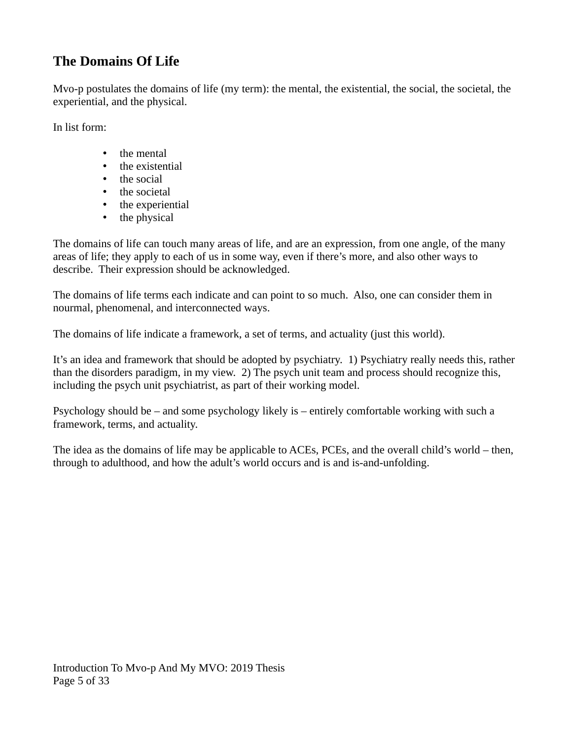### **The Domains Of Life**

Mvo-p postulates the domains of life (my term): the mental, the existential, the social, the societal, the experiential, and the physical.

In list form:

- the mental
- the existential<br>• the social
- the social
- the societal
- the experiential
- the physical

The domains of life can touch many areas of life, and are an expression, from one angle, of the many areas of life; they apply to each of us in some way, even if there's more, and also other ways to describe. Their expression should be acknowledged.

The domains of life terms each indicate and can point to so much. Also, one can consider them in nourmal, phenomenal, and interconnected ways.

The domains of life indicate a framework, a set of terms, and actuality (just this world).

It's an idea and framework that should be adopted by psychiatry. 1) Psychiatry really needs this, rather than the disorders paradigm, in my view. 2) The psych unit team and process should recognize this, including the psych unit psychiatrist, as part of their working model.

Psychology should be – and some psychology likely is – entirely comfortable working with such a framework, terms, and actuality.

The idea as the domains of life may be applicable to ACEs, PCEs, and the overall child's world – then, through to adulthood, and how the adult's world occurs and is and is-and-unfolding.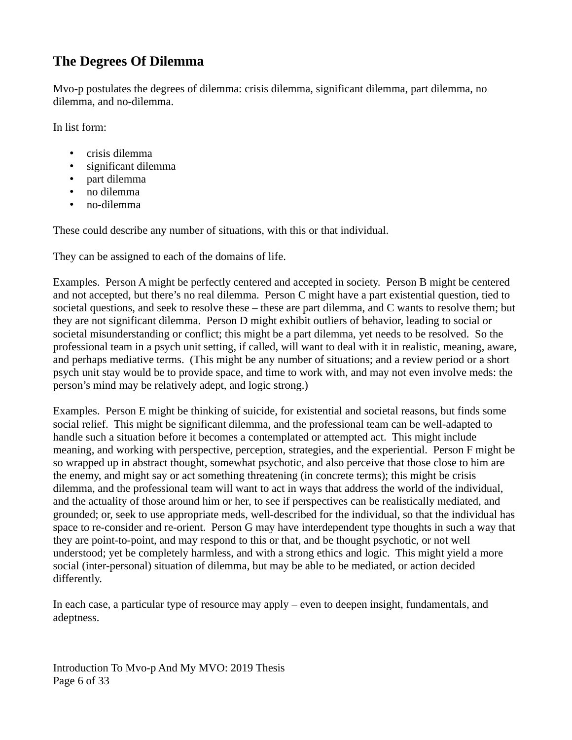### **The Degrees Of Dilemma**

Mvo-p postulates the degrees of dilemma: crisis dilemma, significant dilemma, part dilemma, no dilemma, and no-dilemma.

In list form:

- crisis dilemma
- significant dilemma
- part dilemma
- no dilemma
- no-dilemma

These could describe any number of situations, with this or that individual.

They can be assigned to each of the domains of life.

Examples. Person A might be perfectly centered and accepted in society. Person B might be centered and not accepted, but there's no real dilemma. Person C might have a part existential question, tied to societal questions, and seek to resolve these – these are part dilemma, and C wants to resolve them; but they are not significant dilemma. Person D might exhibit outliers of behavior, leading to social or societal misunderstanding or conflict; this might be a part dilemma, yet needs to be resolved. So the professional team in a psych unit setting, if called, will want to deal with it in realistic, meaning, aware, and perhaps mediative terms. (This might be any number of situations; and a review period or a short psych unit stay would be to provide space, and time to work with, and may not even involve meds: the person's mind may be relatively adept, and logic strong.)

Examples. Person E might be thinking of suicide, for existential and societal reasons, but finds some social relief. This might be significant dilemma, and the professional team can be well-adapted to handle such a situation before it becomes a contemplated or attempted act. This might include meaning, and working with perspective, perception, strategies, and the experiential. Person F might be so wrapped up in abstract thought, somewhat psychotic, and also perceive that those close to him are the enemy, and might say or act something threatening (in concrete terms); this might be crisis dilemma, and the professional team will want to act in ways that address the world of the individual, and the actuality of those around him or her, to see if perspectives can be realistically mediated, and grounded; or, seek to use appropriate meds, well-described for the individual, so that the individual has space to re-consider and re-orient. Person G may have interdependent type thoughts in such a way that they are point-to-point, and may respond to this or that, and be thought psychotic, or not well understood; yet be completely harmless, and with a strong ethics and logic. This might yield a more social (inter-personal) situation of dilemma, but may be able to be mediated, or action decided differently.

In each case, a particular type of resource may apply – even to deepen insight, fundamentals, and adeptness.

Introduction To Mvo-p And My MVO: 2019 Thesis Page 6 of 33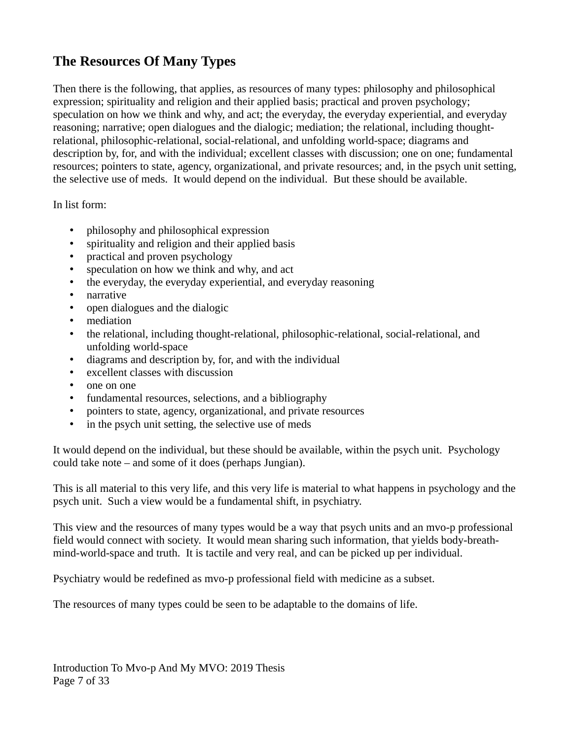### **The Resources Of Many Types**

Then there is the following, that applies, as resources of many types: philosophy and philosophical expression; spirituality and religion and their applied basis; practical and proven psychology; speculation on how we think and why, and act; the everyday, the everyday experiential, and everyday reasoning; narrative; open dialogues and the dialogic; mediation; the relational, including thoughtrelational, philosophic-relational, social-relational, and unfolding world-space; diagrams and description by, for, and with the individual; excellent classes with discussion; one on one; fundamental resources; pointers to state, agency, organizational, and private resources; and, in the psych unit setting, the selective use of meds. It would depend on the individual. But these should be available.

In list form:

- philosophy and philosophical expression
- spirituality and religion and their applied basis
- practical and proven psychology
- speculation on how we think and why, and act
- the everyday, the everyday experiential, and everyday reasoning
- narrative
- open dialogues and the dialogic
- mediation
- the relational, including thought-relational, philosophic-relational, social-relational, and unfolding world-space
- diagrams and description by, for, and with the individual
- excellent classes with discussion
- one on one
- fundamental resources, selections, and a bibliography
- pointers to state, agency, organizational, and private resources
- in the psych unit setting, the selective use of meds

It would depend on the individual, but these should be available, within the psych unit. Psychology could take note – and some of it does (perhaps Jungian).

This is all material to this very life, and this very life is material to what happens in psychology and the psych unit. Such a view would be a fundamental shift, in psychiatry.

This view and the resources of many types would be a way that psych units and an mvo-p professional field would connect with society. It would mean sharing such information, that yields body-breathmind-world-space and truth. It is tactile and very real, and can be picked up per individual.

Psychiatry would be redefined as mvo-p professional field with medicine as a subset.

The resources of many types could be seen to be adaptable to the domains of life.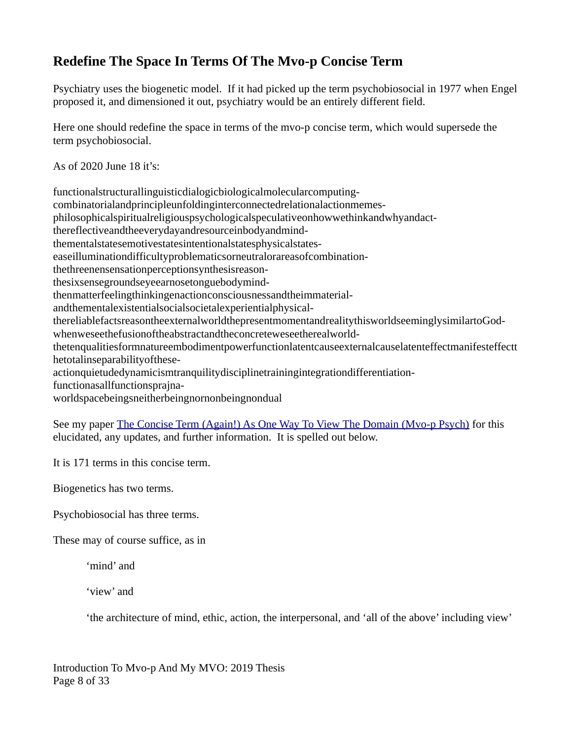### **Redefine The Space In Terms Of The Mvo-p Concise Term**

Psychiatry uses the biogenetic model. If it had picked up the term psychobiosocial in 1977 when Engel proposed it, and dimensioned it out, psychiatry would be an entirely different field.

Here one should redefine the space in terms of the mvo-p concise term, which would supersede the term psychobiosocial.

As of 2020 June 18 it's:

functionalstructurallinguisticdialogicbiologicalmolecularcomputing-

combinatorialandprincipleunfoldinginterconnectedrelationalactionmemes-

philosophicalspiritualreligiouspsychologicalspeculativeonhowwethinkandwhyandact-

thereflectiveandtheeverydayandresourceinbodyandmind-

thementalstatesemotivestatesintentionalstatesphysicalstates-

easeilluminationdifficultyproblematicsorneutralorareasofcombination-

thethreenensensationperceptionsynthesisreason-

thesixsensegroundseyeearnosetonguebodymind-

thenmatterfeelingthinkingenactionconsciousnessandtheimmaterial-

andthementalexistentialsocialsocietalexperientialphysical-

thereliablefactsreasontheexternalworldthepresentmomentandrealitythisworldseeminglysimilartoGodwhenweseethefusionoftheabstractandtheconcreteweseetherealworld-

thetenqualitiesformnatureembodimentpowerfunctionlatentcauseexternalcauselatenteffectmanifesteffectt hetotalinseparabilityofthese-

actionquietudedynamicismtranquilitydisciplinetrainingintegrationdifferentiation-

functionasallfunctionsprajna-

worldspacebeingsneitherbeingnornonbeingnondual

See my paper [The Concise Term \(Again!\) As One Way To View The Domain \(Mvo-p Psych\)](http://www.mvo-p.com/documents/The%20Concise%20Term%20(Again!)%20As%20One%20Way%20To%20View%20The%20Domain%20(Mvo-p%20Psych).pdf) for this elucidated, any updates, and further information. It is spelled out below.

It is 171 terms in this concise term.

Biogenetics has two terms.

Psychobiosocial has three terms.

These may of course suffice, as in

'mind' and

'view' and

'the architecture of mind, ethic, action, the interpersonal, and 'all of the above' including view'

Introduction To Mvo-p And My MVO: 2019 Thesis Page 8 of 33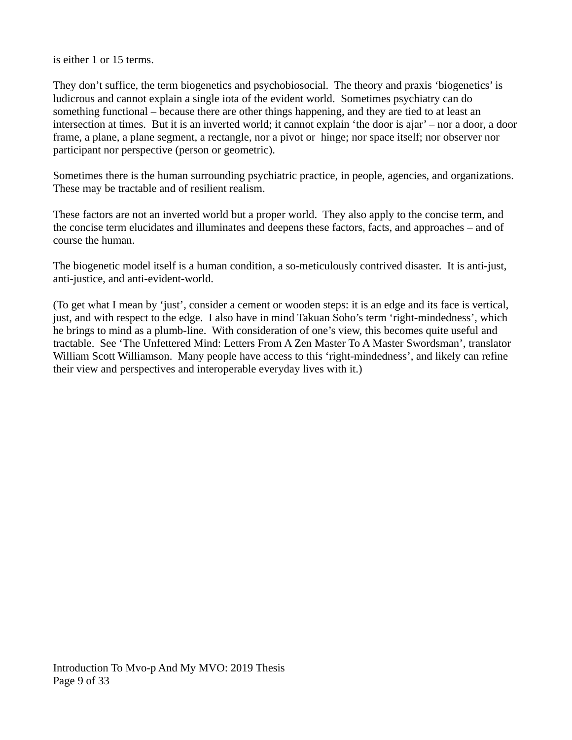is either 1 or 15 terms.

They don't suffice, the term biogenetics and psychobiosocial. The theory and praxis 'biogenetics' is ludicrous and cannot explain a single iota of the evident world. Sometimes psychiatry can do something functional – because there are other things happening, and they are tied to at least an intersection at times. But it is an inverted world; it cannot explain 'the door is ajar' – nor a door, a door frame, a plane, a plane segment, a rectangle, nor a pivot or hinge; nor space itself; nor observer nor participant nor perspective (person or geometric).

Sometimes there is the human surrounding psychiatric practice, in people, agencies, and organizations. These may be tractable and of resilient realism.

These factors are not an inverted world but a proper world. They also apply to the concise term, and the concise term elucidates and illuminates and deepens these factors, facts, and approaches – and of course the human.

The biogenetic model itself is a human condition, a so-meticulously contrived disaster. It is anti-just, anti-justice, and anti-evident-world.

(To get what I mean by 'just', consider a cement or wooden steps: it is an edge and its face is vertical, just, and with respect to the edge. I also have in mind Takuan Soho's term 'right-mindedness', which he brings to mind as a plumb-line. With consideration of one's view, this becomes quite useful and tractable. See 'The Unfettered Mind: Letters From A Zen Master To A Master Swordsman', translator William Scott Williamson. Many people have access to this 'right-mindedness', and likely can refine their view and perspectives and interoperable everyday lives with it.)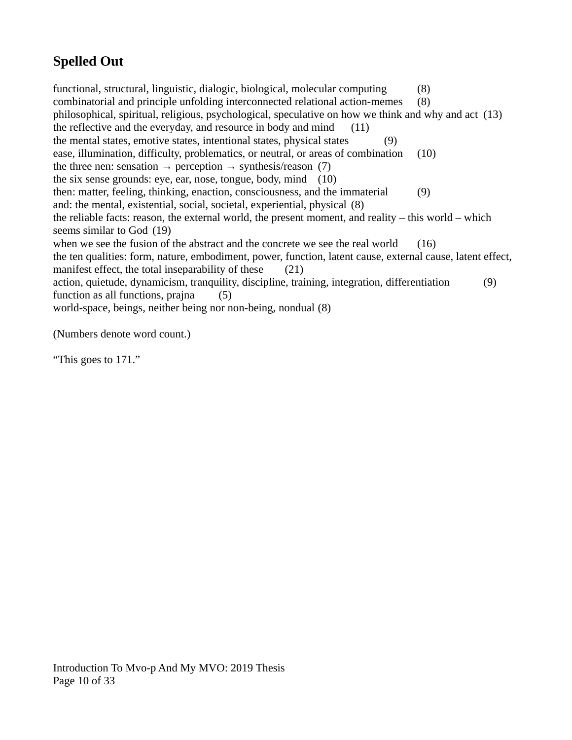# **Spelled Out**

functional, structural, linguistic, dialogic, biological, molecular computing (8) combinatorial and principle unfolding interconnected relational action-memes (8) philosophical, spiritual, religious, psychological, speculative on how we think and why and act (13) the reflective and the everyday, and resource in body and mind (11) the mental states, emotive states, intentional states, physical states (9) ease, illumination, difficulty, problematics, or neutral, or areas of combination (10) the three nen: sensation  $\rightarrow$  perception  $\rightarrow$  synthesis/reason (7) the six sense grounds: eye, ear, nose, tongue, body, mind (10) then: matter, feeling, thinking, enaction, consciousness, and the immaterial (9) and: the mental, existential, social, societal, experiential, physical (8) the reliable facts: reason, the external world, the present moment, and reality – this world – which seems similar to God (19) when we see the fusion of the abstract and the concrete we see the real world  $(16)$ the ten qualities: form, nature, embodiment, power, function, latent cause, external cause, latent effect, manifest effect, the total inseparability of these (21) action, quietude, dynamicism, tranquility, discipline, training, integration, differentiation (9) function as all functions, praina (5) world-space, beings, neither being nor non-being, nondual (8)

(Numbers denote word count.)

"This goes to 171."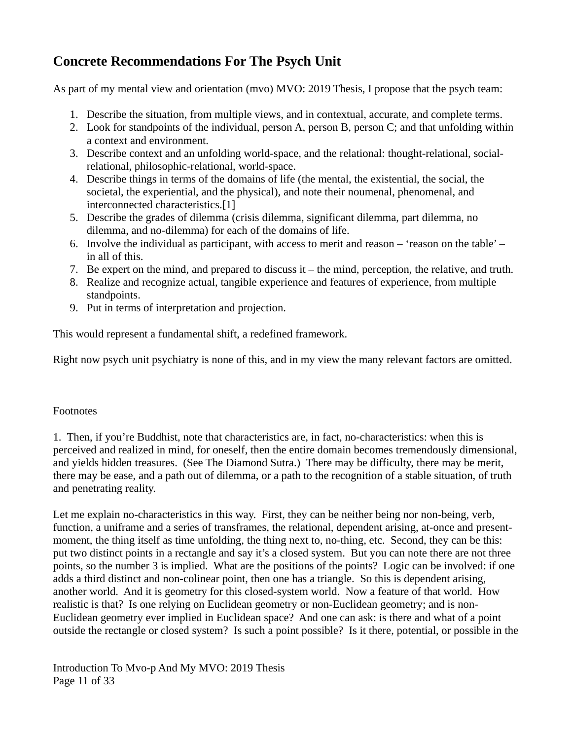### **Concrete Recommendations For The Psych Unit**

As part of my mental view and orientation (mvo) MVO: 2019 Thesis, I propose that the psych team:

- 1. Describe the situation, from multiple views, and in contextual, accurate, and complete terms.
- 2. Look for standpoints of the individual, person A, person B, person C; and that unfolding within a context and environment.
- 3. Describe context and an unfolding world-space, and the relational: thought-relational, socialrelational, philosophic-relational, world-space.
- 4. Describe things in terms of the domains of life (the mental, the existential, the social, the societal, the experiential, and the physical), and note their noumenal, phenomenal, and interconnected characteristics.[1]
- 5. Describe the grades of dilemma (crisis dilemma, significant dilemma, part dilemma, no dilemma, and no-dilemma) for each of the domains of life.
- 6. Involve the individual as participant, with access to merit and reason 'reason on the table' in all of this.
- 7. Be expert on the mind, and prepared to discuss it the mind, perception, the relative, and truth.
- 8. Realize and recognize actual, tangible experience and features of experience, from multiple standpoints.
- 9. Put in terms of interpretation and projection.

This would represent a fundamental shift, a redefined framework.

Right now psych unit psychiatry is none of this, and in my view the many relevant factors are omitted.

#### Footnotes

1. Then, if you're Buddhist, note that characteristics are, in fact, no-characteristics: when this is perceived and realized in mind, for oneself, then the entire domain becomes tremendously dimensional, and yields hidden treasures. (See The Diamond Sutra.) There may be difficulty, there may be merit, there may be ease, and a path out of dilemma, or a path to the recognition of a stable situation, of truth and penetrating reality.

Let me explain no-characteristics in this way. First, they can be neither being nor non-being, verb, function, a uniframe and a series of transframes, the relational, dependent arising, at-once and presentmoment, the thing itself as time unfolding, the thing next to, no-thing, etc. Second, they can be this: put two distinct points in a rectangle and say it's a closed system. But you can note there are not three points, so the number 3 is implied. What are the positions of the points? Logic can be involved: if one adds a third distinct and non-colinear point, then one has a triangle. So this is dependent arising, another world. And it is geometry for this closed-system world. Now a feature of that world. How realistic is that? Is one relying on Euclidean geometry or non-Euclidean geometry; and is non-Euclidean geometry ever implied in Euclidean space? And one can ask: is there and what of a point outside the rectangle or closed system? Is such a point possible? Is it there, potential, or possible in the

Introduction To Mvo-p And My MVO: 2019 Thesis Page 11 of 33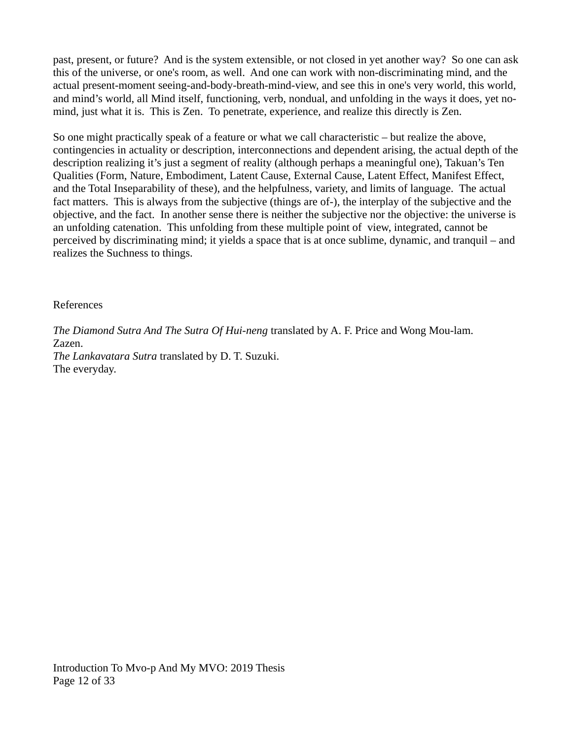past, present, or future? And is the system extensible, or not closed in yet another way? So one can ask this of the universe, or one's room, as well. And one can work with non-discriminating mind, and the actual present-moment seeing-and-body-breath-mind-view, and see this in one's very world, this world, and mind's world, all Mind itself, functioning, verb, nondual, and unfolding in the ways it does, yet nomind, just what it is. This is Zen. To penetrate, experience, and realize this directly is Zen.

So one might practically speak of a feature or what we call characteristic – but realize the above, contingencies in actuality or description, interconnections and dependent arising, the actual depth of the description realizing it's just a segment of reality (although perhaps a meaningful one), Takuan's Ten Qualities (Form, Nature, Embodiment, Latent Cause, External Cause, Latent Effect, Manifest Effect, and the Total Inseparability of these), and the helpfulness, variety, and limits of language. The actual fact matters. This is always from the subjective (things are of-), the interplay of the subjective and the objective, and the fact. In another sense there is neither the subjective nor the objective: the universe is an unfolding catenation. This unfolding from these multiple point of view, integrated, cannot be perceived by discriminating mind; it yields a space that is at once sublime, dynamic, and tranquil – and realizes the Suchness to things.

#### References

*The Diamond Sutra And The Sutra Of Hui-neng* translated by A. F. Price and Wong Mou-lam. Zazen. *The Lankavatara Sutra* translated by D. T. Suzuki. The everyday.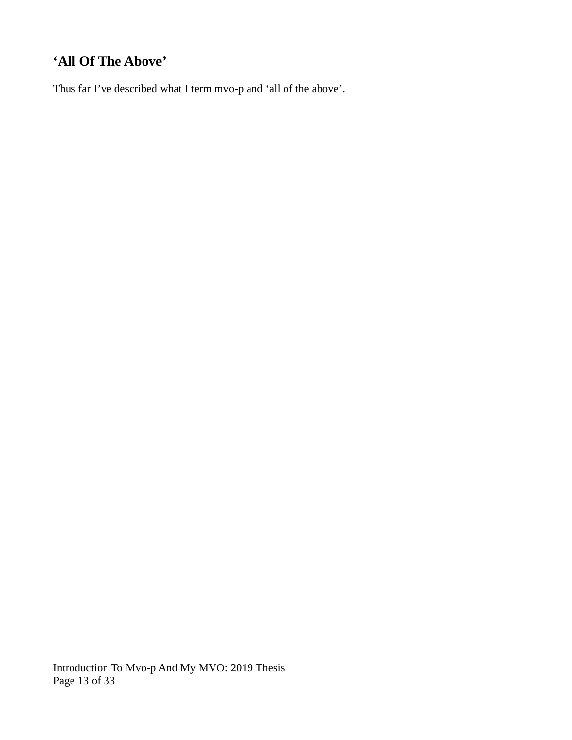# **'All Of The Above'**

Thus far I've described what I term mvo-p and 'all of the above'.

Introduction To Mvo-p And My MVO: 2019 Thesis Page 13 of 33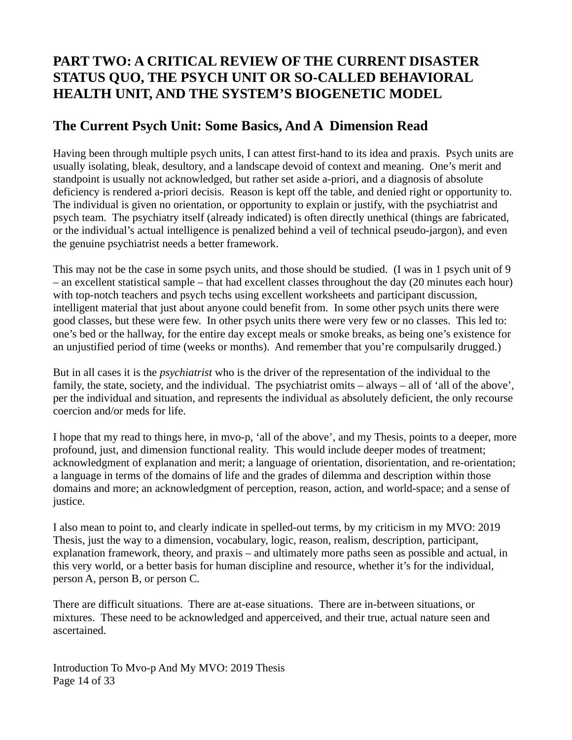### **PART TWO: A CRITICAL REVIEW OF THE CURRENT DISASTER STATUS QUO, THE PSYCH UNIT OR SO-CALLED BEHAVIORAL HEALTH UNIT, AND THE SYSTEM'S BIOGENETIC MODEL**

### **The Current Psych Unit: Some Basics, And A Dimension Read**

Having been through multiple psych units, I can attest first-hand to its idea and praxis. Psych units are usually isolating, bleak, desultory, and a landscape devoid of context and meaning. One's merit and standpoint is usually not acknowledged, but rather set aside a-priori, and a diagnosis of absolute deficiency is rendered a-priori decisis. Reason is kept off the table, and denied right or opportunity to. The individual is given no orientation, or opportunity to explain or justify, with the psychiatrist and psych team. The psychiatry itself (already indicated) is often directly unethical (things are fabricated, or the individual's actual intelligence is penalized behind a veil of technical pseudo-jargon), and even the genuine psychiatrist needs a better framework.

This may not be the case in some psych units, and those should be studied. (I was in 1 psych unit of 9 – an excellent statistical sample – that had excellent classes throughout the day (20 minutes each hour) with top-notch teachers and psych techs using excellent worksheets and participant discussion, intelligent material that just about anyone could benefit from. In some other psych units there were good classes, but these were few. In other psych units there were very few or no classes. This led to: one's bed or the hallway, for the entire day except meals or smoke breaks, as being one's existence for an unjustified period of time (weeks or months). And remember that you're compulsarily drugged.)

But in all cases it is the *psychiatrist* who is the driver of the representation of the individual to the family, the state, society, and the individual. The psychiatrist omits – always – all of 'all of the above', per the individual and situation, and represents the individual as absolutely deficient, the only recourse coercion and/or meds for life.

I hope that my read to things here, in mvo-p, 'all of the above', and my Thesis, points to a deeper, more profound, just, and dimension functional reality. This would include deeper modes of treatment; acknowledgment of explanation and merit; a language of orientation, disorientation, and re-orientation; a language in terms of the domains of life and the grades of dilemma and description within those domains and more; an acknowledgment of perception, reason, action, and world-space; and a sense of justice.

I also mean to point to, and clearly indicate in spelled-out terms, by my criticism in my MVO: 2019 Thesis, just the way to a dimension, vocabulary, logic, reason, realism, description, participant, explanation framework, theory, and praxis – and ultimately more paths seen as possible and actual, in this very world, or a better basis for human discipline and resource, whether it's for the individual, person A, person B, or person C.

There are difficult situations. There are at-ease situations. There are in-between situations, or mixtures. These need to be acknowledged and apperceived, and their true, actual nature seen and ascertained.

Introduction To Mvo-p And My MVO: 2019 Thesis Page 14 of 33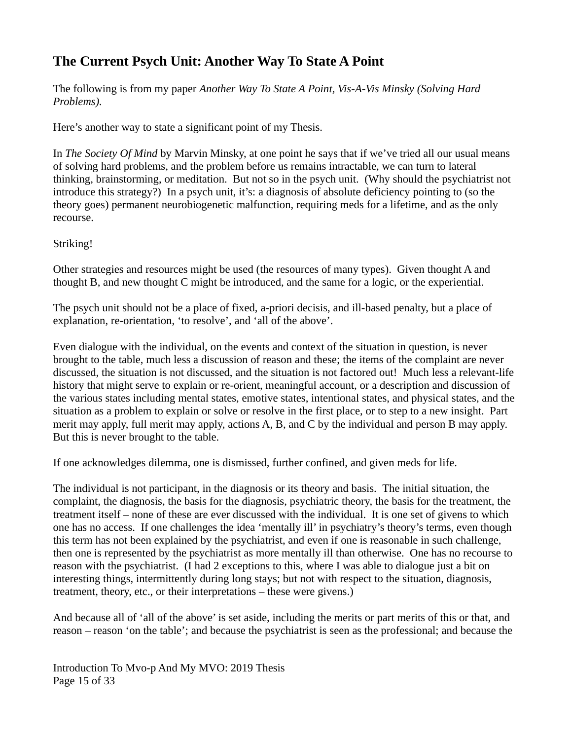### **The Current Psych Unit: Another Way To State A Point**

The following is from my paper *Another Way To State A Point, Vis-A-Vis Minsky (Solving Hard Problems).*

Here's another way to state a significant point of my Thesis.

In *The Society Of Mind* by Marvin Minsky, at one point he says that if we've tried all our usual means of solving hard problems, and the problem before us remains intractable, we can turn to lateral thinking, brainstorming, or meditation. But not so in the psych unit. (Why should the psychiatrist not introduce this strategy?) In a psych unit, it's: a diagnosis of absolute deficiency pointing to (so the theory goes) permanent neurobiogenetic malfunction, requiring meds for a lifetime, and as the only recourse.

Striking!

Other strategies and resources might be used (the resources of many types). Given thought A and thought B, and new thought C might be introduced, and the same for a logic, or the experiential.

The psych unit should not be a place of fixed, a-priori decisis, and ill-based penalty, but a place of explanation, re-orientation, 'to resolve', and 'all of the above'.

Even dialogue with the individual, on the events and context of the situation in question, is never brought to the table, much less a discussion of reason and these; the items of the complaint are never discussed, the situation is not discussed, and the situation is not factored out! Much less a relevant-life history that might serve to explain or re-orient, meaningful account, or a description and discussion of the various states including mental states, emotive states, intentional states, and physical states, and the situation as a problem to explain or solve or resolve in the first place, or to step to a new insight. Part merit may apply, full merit may apply, actions A, B, and C by the individual and person B may apply. But this is never brought to the table.

If one acknowledges dilemma, one is dismissed, further confined, and given meds for life.

The individual is not participant, in the diagnosis or its theory and basis. The initial situation, the complaint, the diagnosis, the basis for the diagnosis, psychiatric theory, the basis for the treatment, the treatment itself – none of these are ever discussed with the individual. It is one set of givens to which one has no access. If one challenges the idea 'mentally ill' in psychiatry's theory's terms, even though this term has not been explained by the psychiatrist, and even if one is reasonable in such challenge, then one is represented by the psychiatrist as more mentally ill than otherwise. One has no recourse to reason with the psychiatrist. (I had 2 exceptions to this, where I was able to dialogue just a bit on interesting things, intermittently during long stays; but not with respect to the situation, diagnosis, treatment, theory, etc., or their interpretations – these were givens.)

And because all of 'all of the above' is set aside, including the merits or part merits of this or that, and reason – reason 'on the table'; and because the psychiatrist is seen as the professional; and because the

Introduction To Mvo-p And My MVO: 2019 Thesis Page 15 of 33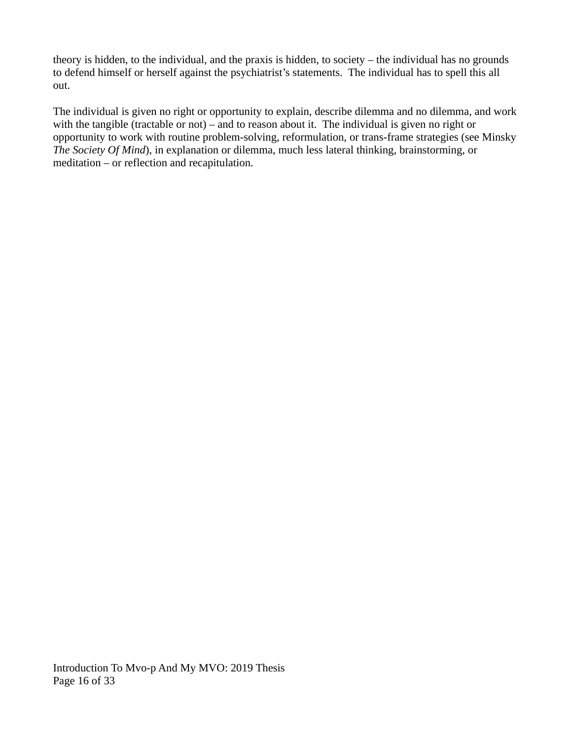theory is hidden, to the individual, and the praxis is hidden, to society – the individual has no grounds to defend himself or herself against the psychiatrist's statements. The individual has to spell this all out.

The individual is given no right or opportunity to explain, describe dilemma and no dilemma, and work with the tangible (tractable or not) – and to reason about it. The individual is given no right or opportunity to work with routine problem-solving, reformulation, or trans-frame strategies (see Minsky *The Society Of Mind*), in explanation or dilemma, much less lateral thinking, brainstorming, or meditation – or reflection and recapitulation.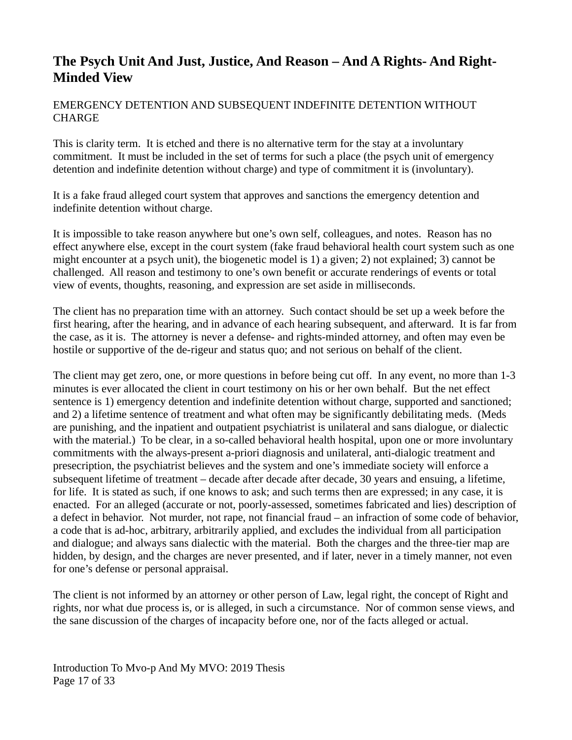### **The Psych Unit And Just, Justice, And Reason – And A Rights- And Right-Minded View**

#### EMERGENCY DETENTION AND SUBSEQUENT INDEFINITE DETENTION WITHOUT **CHARGE**

This is clarity term. It is etched and there is no alternative term for the stay at a involuntary commitment. It must be included in the set of terms for such a place (the psych unit of emergency detention and indefinite detention without charge) and type of commitment it is (involuntary).

It is a fake fraud alleged court system that approves and sanctions the emergency detention and indefinite detention without charge.

It is impossible to take reason anywhere but one's own self, colleagues, and notes. Reason has no effect anywhere else, except in the court system (fake fraud behavioral health court system such as one might encounter at a psych unit), the biogenetic model is 1) a given; 2) not explained; 3) cannot be challenged. All reason and testimony to one's own benefit or accurate renderings of events or total view of events, thoughts, reasoning, and expression are set aside in milliseconds.

The client has no preparation time with an attorney. Such contact should be set up a week before the first hearing, after the hearing, and in advance of each hearing subsequent, and afterward. It is far from the case, as it is. The attorney is never a defense- and rights-minded attorney, and often may even be hostile or supportive of the de-rigeur and status quo; and not serious on behalf of the client.

The client may get zero, one, or more questions in before being cut off. In any event, no more than 1-3 minutes is ever allocated the client in court testimony on his or her own behalf. But the net effect sentence is 1) emergency detention and indefinite detention without charge, supported and sanctioned; and 2) a lifetime sentence of treatment and what often may be significantly debilitating meds. (Meds are punishing, and the inpatient and outpatient psychiatrist is unilateral and sans dialogue, or dialectic with the material.) To be clear, in a so-called behavioral health hospital, upon one or more involuntary commitments with the always-present a-priori diagnosis and unilateral, anti-dialogic treatment and presecription, the psychiatrist believes and the system and one's immediate society will enforce a subsequent lifetime of treatment – decade after decade after decade, 30 years and ensuing, a lifetime, for life. It is stated as such, if one knows to ask; and such terms then are expressed; in any case, it is enacted. For an alleged (accurate or not, poorly-assessed, sometimes fabricated and lies) description of a defect in behavior. Not murder, not rape, not financial fraud – an infraction of some code of behavior, a code that is ad-hoc, arbitrary, arbitrarily applied, and excludes the individual from all participation and dialogue; and always sans dialectic with the material. Both the charges and the three-tier map are hidden, by design, and the charges are never presented, and if later, never in a timely manner, not even for one's defense or personal appraisal.

The client is not informed by an attorney or other person of Law, legal right, the concept of Right and rights, nor what due process is, or is alleged, in such a circumstance. Nor of common sense views, and the sane discussion of the charges of incapacity before one, nor of the facts alleged or actual.

Introduction To Mvo-p And My MVO: 2019 Thesis Page 17 of 33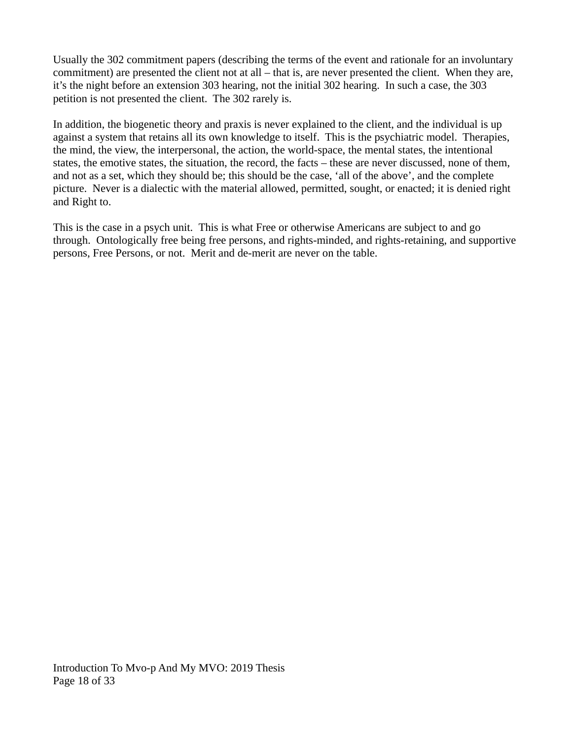Usually the 302 commitment papers (describing the terms of the event and rationale for an involuntary commitment) are presented the client not at all – that is, are never presented the client. When they are, it's the night before an extension 303 hearing, not the initial 302 hearing. In such a case, the 303 petition is not presented the client. The 302 rarely is.

In addition, the biogenetic theory and praxis is never explained to the client, and the individual is up against a system that retains all its own knowledge to itself. This is the psychiatric model. Therapies, the mind, the view, the interpersonal, the action, the world-space, the mental states, the intentional states, the emotive states, the situation, the record, the facts – these are never discussed, none of them, and not as a set, which they should be; this should be the case, 'all of the above', and the complete picture. Never is a dialectic with the material allowed, permitted, sought, or enacted; it is denied right and Right to.

This is the case in a psych unit. This is what Free or otherwise Americans are subject to and go through. Ontologically free being free persons, and rights-minded, and rights-retaining, and supportive persons, Free Persons, or not. Merit and de-merit are never on the table.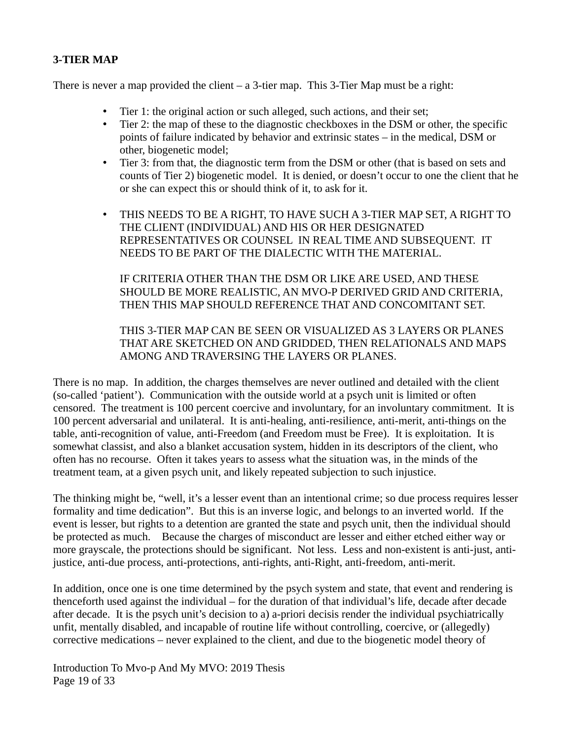#### **3-TIER MAP**

There is never a map provided the client  $-$  a 3-tier map. This 3-Tier Map must be a right:

- Tier 1: the original action or such alleged, such actions, and their set;<br>• Tier 2: the man of these to the diagnostic checkboxes in the DSM or c
- Tier 2: the map of these to the diagnostic checkboxes in the DSM or other, the specific points of failure indicated by behavior and extrinsic states – in the medical, DSM or other, biogenetic model;
- Tier 3: from that, the diagnostic term from the DSM or other (that is based on sets and counts of Tier 2) biogenetic model. It is denied, or doesn't occur to one the client that he or she can expect this or should think of it, to ask for it.
- THIS NEEDS TO BE A RIGHT, TO HAVE SUCH A 3-TIER MAP SET, A RIGHT TO THE CLIENT (INDIVIDUAL) AND HIS OR HER DESIGNATED REPRESENTATIVES OR COUNSEL IN REAL TIME AND SUBSEQUENT. IT NEEDS TO BE PART OF THE DIALECTIC WITH THE MATERIAL.

IF CRITERIA OTHER THAN THE DSM OR LIKE ARE USED, AND THESE SHOULD BE MORE REALISTIC, AN MVO-P DERIVED GRID AND CRITERIA, THEN THIS MAP SHOULD REFERENCE THAT AND CONCOMITANT SET.

#### THIS 3-TIER MAP CAN BE SEEN OR VISUALIZED AS 3 LAYERS OR PLANES THAT ARE SKETCHED ON AND GRIDDED, THEN RELATIONALS AND MAPS AMONG AND TRAVERSING THE LAYERS OR PLANES.

There is no map. In addition, the charges themselves are never outlined and detailed with the client (so-called 'patient'). Communication with the outside world at a psych unit is limited or often censored. The treatment is 100 percent coercive and involuntary, for an involuntary commitment. It is 100 percent adversarial and unilateral. It is anti-healing, anti-resilience, anti-merit, anti-things on the table, anti-recognition of value, anti-Freedom (and Freedom must be Free). It is exploitation. It is somewhat classist, and also a blanket accusation system, hidden in its descriptors of the client, who often has no recourse. Often it takes years to assess what the situation was, in the minds of the treatment team, at a given psych unit, and likely repeated subjection to such injustice.

The thinking might be, "well, it's a lesser event than an intentional crime; so due process requires lesser formality and time dedication". But this is an inverse logic, and belongs to an inverted world. If the event is lesser, but rights to a detention are granted the state and psych unit, then the individual should be protected as much. Because the charges of misconduct are lesser and either etched either way or more grayscale, the protections should be significant. Not less. Less and non-existent is anti-just, antijustice, anti-due process, anti-protections, anti-rights, anti-Right, anti-freedom, anti-merit.

In addition, once one is one time determined by the psych system and state, that event and rendering is thenceforth used against the individual – for the duration of that individual's life, decade after decade after decade. It is the psych unit's decision to a) a-priori decisis render the individual psychiatrically unfit, mentally disabled, and incapable of routine life without controlling, coercive, or (allegedly) corrective medications – never explained to the client, and due to the biogenetic model theory of

Introduction To Mvo-p And My MVO: 2019 Thesis Page 19 of 33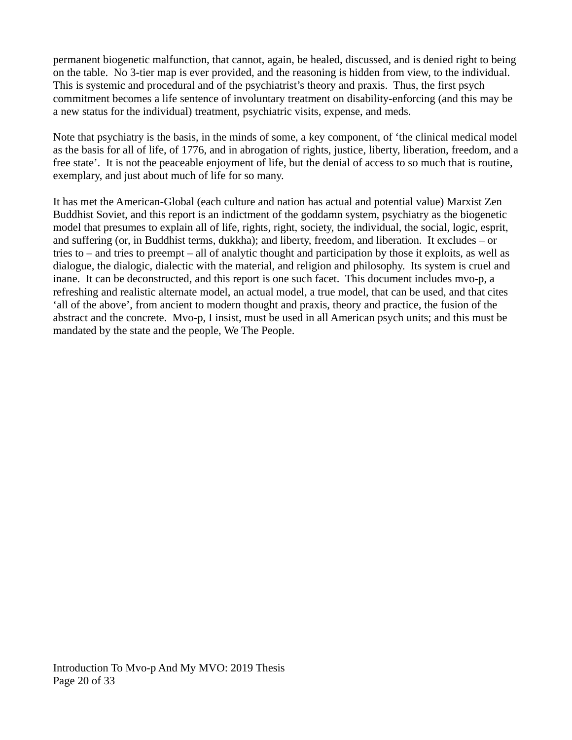permanent biogenetic malfunction, that cannot, again, be healed, discussed, and is denied right to being on the table. No 3-tier map is ever provided, and the reasoning is hidden from view, to the individual. This is systemic and procedural and of the psychiatrist's theory and praxis. Thus, the first psych commitment becomes a life sentence of involuntary treatment on disability-enforcing (and this may be a new status for the individual) treatment, psychiatric visits, expense, and meds.

Note that psychiatry is the basis, in the minds of some, a key component, of 'the clinical medical model as the basis for all of life, of 1776, and in abrogation of rights, justice, liberty, liberation, freedom, and a free state'. It is not the peaceable enjoyment of life, but the denial of access to so much that is routine, exemplary, and just about much of life for so many.

It has met the American-Global (each culture and nation has actual and potential value) Marxist Zen Buddhist Soviet, and this report is an indictment of the goddamn system, psychiatry as the biogenetic model that presumes to explain all of life, rights, right, society, the individual, the social, logic, esprit, and suffering (or, in Buddhist terms, dukkha); and liberty, freedom, and liberation. It excludes – or tries to – and tries to preempt – all of analytic thought and participation by those it exploits, as well as dialogue, the dialogic, dialectic with the material, and religion and philosophy. Its system is cruel and inane. It can be deconstructed, and this report is one such facet. This document includes mvo-p, a refreshing and realistic alternate model, an actual model, a true model, that can be used, and that cites 'all of the above', from ancient to modern thought and praxis, theory and practice, the fusion of the abstract and the concrete. Mvo-p, I insist, must be used in all American psych units; and this must be mandated by the state and the people, We The People.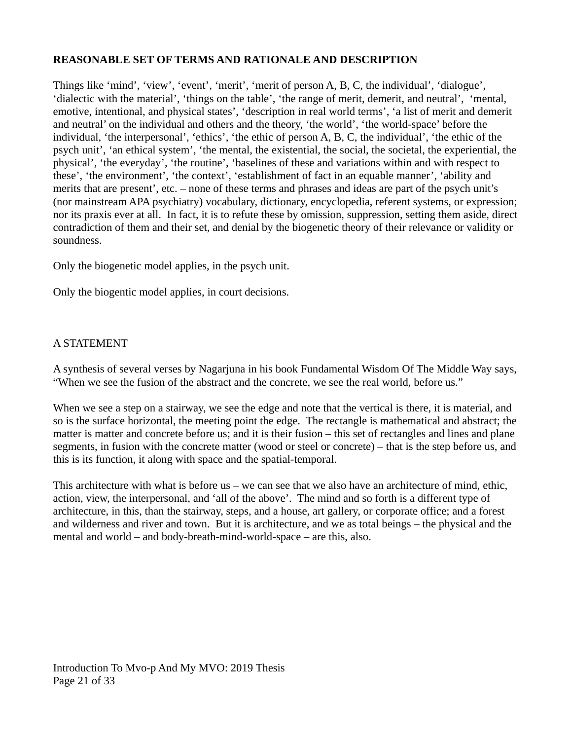#### **REASONABLE SET OF TERMS AND RATIONALE AND DESCRIPTION**

Things like 'mind', 'view', 'event', 'merit', 'merit of person A, B, C, the individual', 'dialogue', 'dialectic with the material', 'things on the table', 'the range of merit, demerit, and neutral', 'mental, emotive, intentional, and physical states', 'description in real world terms', 'a list of merit and demerit and neutral' on the individual and others and the theory, 'the world', 'the world-space' before the individual, 'the interpersonal', 'ethics', 'the ethic of person A, B, C, the individual', 'the ethic of the psych unit', 'an ethical system', 'the mental, the existential, the social, the societal, the experiential, the physical', 'the everyday', 'the routine', 'baselines of these and variations within and with respect to these', 'the environment', 'the context', 'establishment of fact in an equable manner', 'ability and merits that are present', etc. – none of these terms and phrases and ideas are part of the psych unit's (nor mainstream APA psychiatry) vocabulary, dictionary, encyclopedia, referent systems, or expression; nor its praxis ever at all. In fact, it is to refute these by omission, suppression, setting them aside, direct contradiction of them and their set, and denial by the biogenetic theory of their relevance or validity or soundness.

Only the biogenetic model applies, in the psych unit.

Only the biogentic model applies, in court decisions.

#### A STATEMENT

A synthesis of several verses by Nagarjuna in his book Fundamental Wisdom Of The Middle Way says, "When we see the fusion of the abstract and the concrete, we see the real world, before us."

When we see a step on a stairway, we see the edge and note that the vertical is there, it is material, and so is the surface horizontal, the meeting point the edge. The rectangle is mathematical and abstract; the matter is matter and concrete before us; and it is their fusion – this set of rectangles and lines and plane segments, in fusion with the concrete matter (wood or steel or concrete) – that is the step before us, and this is its function, it along with space and the spatial-temporal.

This architecture with what is before us – we can see that we also have an architecture of mind, ethic, action, view, the interpersonal, and 'all of the above'. The mind and so forth is a different type of architecture, in this, than the stairway, steps, and a house, art gallery, or corporate office; and a forest and wilderness and river and town. But it is architecture, and we as total beings – the physical and the mental and world – and body-breath-mind-world-space – are this, also.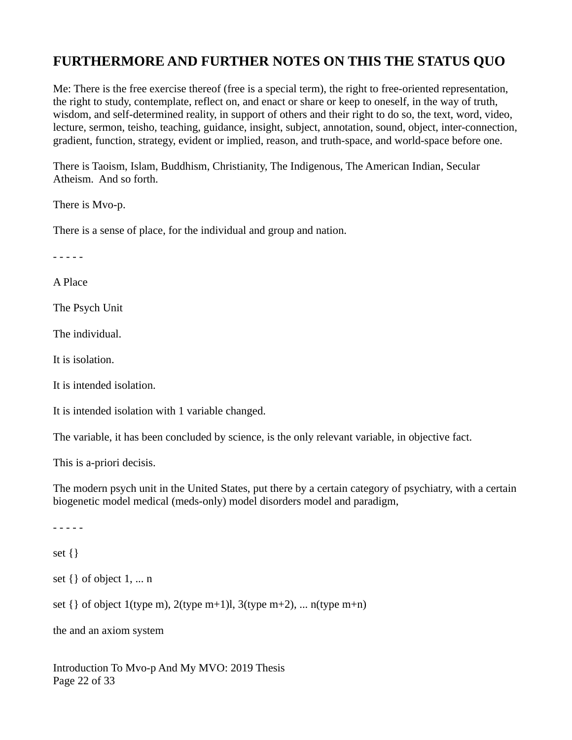### **FURTHERMORE AND FURTHER NOTES ON THIS THE STATUS QUO**

Me: There is the free exercise thereof (free is a special term), the right to free-oriented representation, the right to study, contemplate, reflect on, and enact or share or keep to oneself, in the way of truth, wisdom, and self-determined reality, in support of others and their right to do so, the text, word, video, lecture, sermon, teisho, teaching, guidance, insight, subject, annotation, sound, object, inter-connection, gradient, function, strategy, evident or implied, reason, and truth-space, and world-space before one.

There is Taoism, Islam, Buddhism, Christianity, The Indigenous, The American Indian, Secular Atheism. And so forth.

There is Mvo-p.

There is a sense of place, for the individual and group and nation.

- - - - -

A Place

The Psych Unit

The individual.

It is isolation.

It is intended isolation.

It is intended isolation with 1 variable changed.

The variable, it has been concluded by science, is the only relevant variable, in objective fact.

This is a-priori decisis.

The modern psych unit in the United States, put there by a certain category of psychiatry, with a certain biogenetic model medical (meds-only) model disorders model and paradigm,

- - - - set {} set {} of object 1, ... n set  $\{ \}$  of object 1(type m), 2(type m+1)l, 3(type m+2), ... n(type m+n)

the and an axiom system

Introduction To Mvo-p And My MVO: 2019 Thesis Page 22 of 33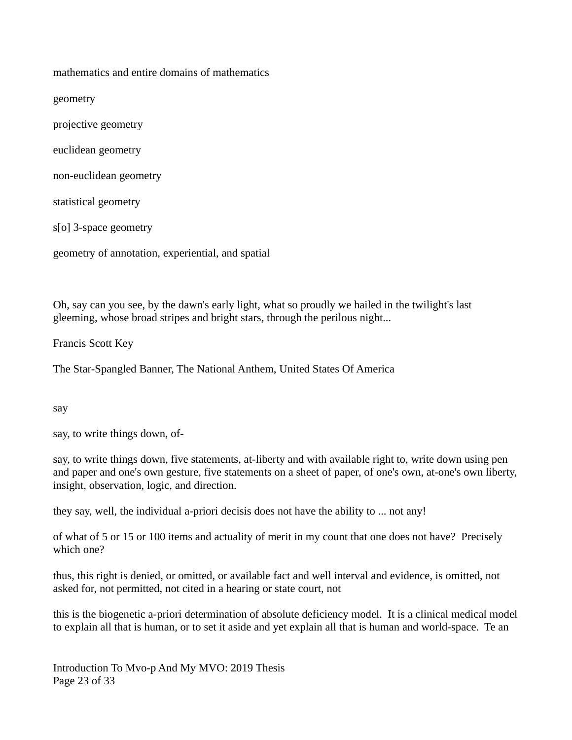mathematics and entire domains of mathematics

geometry

projective geometry

euclidean geometry

non-euclidean geometry

statistical geometry

s[o] 3-space geometry

geometry of annotation, experiential, and spatial

Oh, say can you see, by the dawn's early light, what so proudly we hailed in the twilight's last gleeming, whose broad stripes and bright stars, through the perilous night...

Francis Scott Key

The Star-Spangled Banner, The National Anthem, United States Of America

say

say, to write things down, of-

say, to write things down, five statements, at-liberty and with available right to, write down using pen and paper and one's own gesture, five statements on a sheet of paper, of one's own, at-one's own liberty, insight, observation, logic, and direction.

they say, well, the individual a-priori decisis does not have the ability to ... not any!

of what of 5 or 15 or 100 items and actuality of merit in my count that one does not have? Precisely which one?

thus, this right is denied, or omitted, or available fact and well interval and evidence, is omitted, not asked for, not permitted, not cited in a hearing or state court, not

this is the biogenetic a-priori determination of absolute deficiency model. It is a clinical medical model to explain all that is human, or to set it aside and yet explain all that is human and world-space. Te an

Introduction To Mvo-p And My MVO: 2019 Thesis Page 23 of 33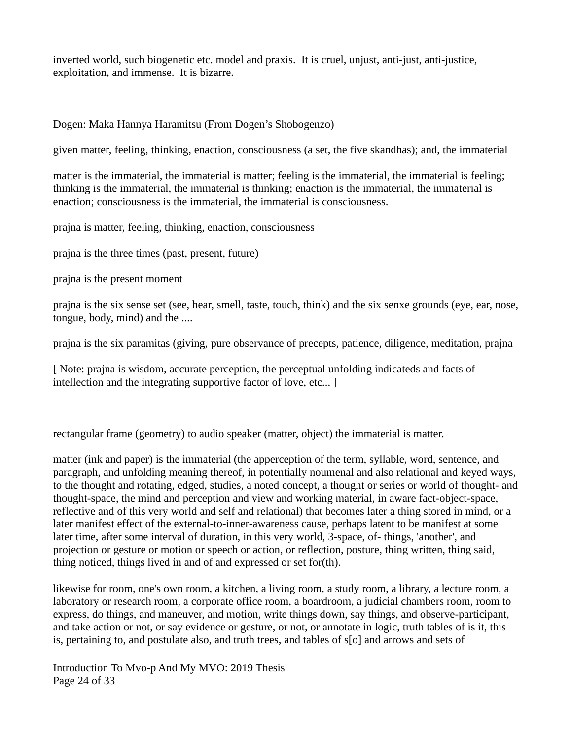inverted world, such biogenetic etc. model and praxis. It is cruel, unjust, anti-just, anti-justice, exploitation, and immense. It is bizarre.

Dogen: Maka Hannya Haramitsu (From Dogen's Shobogenzo)

given matter, feeling, thinking, enaction, consciousness (a set, the five skandhas); and, the immaterial

matter is the immaterial, the immaterial is matter; feeling is the immaterial, the immaterial is feeling; thinking is the immaterial, the immaterial is thinking; enaction is the immaterial, the immaterial is enaction; consciousness is the immaterial, the immaterial is consciousness.

prajna is matter, feeling, thinking, enaction, consciousness

prajna is the three times (past, present, future)

prajna is the present moment

prajna is the six sense set (see, hear, smell, taste, touch, think) and the six senxe grounds (eye, ear, nose, tongue, body, mind) and the ....

prajna is the six paramitas (giving, pure observance of precepts, patience, diligence, meditation, prajna

[ Note: prajna is wisdom, accurate perception, the perceptual unfolding indicateds and facts of intellection and the integrating supportive factor of love, etc... ]

rectangular frame (geometry) to audio speaker (matter, object) the immaterial is matter.

matter (ink and paper) is the immaterial (the apperception of the term, syllable, word, sentence, and paragraph, and unfolding meaning thereof, in potentially noumenal and also relational and keyed ways, to the thought and rotating, edged, studies, a noted concept, a thought or series or world of thought- and thought-space, the mind and perception and view and working material, in aware fact-object-space, reflective and of this very world and self and relational) that becomes later a thing stored in mind, or a later manifest effect of the external-to-inner-awareness cause, perhaps latent to be manifest at some later time, after some interval of duration, in this very world, 3-space, of- things, 'another', and projection or gesture or motion or speech or action, or reflection, posture, thing written, thing said, thing noticed, things lived in and of and expressed or set for(th).

likewise for room, one's own room, a kitchen, a living room, a study room, a library, a lecture room, a laboratory or research room, a corporate office room, a boardroom, a judicial chambers room, room to express, do things, and maneuver, and motion, write things down, say things, and observe-participant, and take action or not, or say evidence or gesture, or not, or annotate in logic, truth tables of is it, this is, pertaining to, and postulate also, and truth trees, and tables of s[o] and arrows and sets of

Introduction To Mvo-p And My MVO: 2019 Thesis Page 24 of 33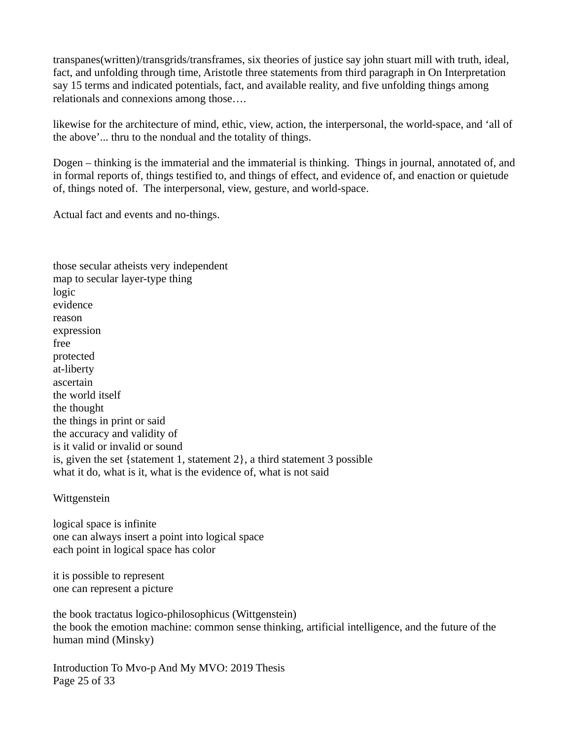transpanes(written)/transgrids/transframes, six theories of justice say john stuart mill with truth, ideal, fact, and unfolding through time, Aristotle three statements from third paragraph in On Interpretation say 15 terms and indicated potentials, fact, and available reality, and five unfolding things among relationals and connexions among those….

likewise for the architecture of mind, ethic, view, action, the interpersonal, the world-space, and 'all of the above'... thru to the nondual and the totality of things.

Dogen – thinking is the immaterial and the immaterial is thinking. Things in journal, annotated of, and in formal reports of, things testified to, and things of effect, and evidence of, and enaction or quietude of, things noted of. The interpersonal, view, gesture, and world-space.

Actual fact and events and no-things.

those secular atheists very independent map to secular layer-type thing logic evidence reason expression free protected at-liberty ascertain the world itself the thought the things in print or said the accuracy and validity of is it valid or invalid or sound is, given the set {statement 1, statement 2}, a third statement 3 possible what it do, what is it, what is the evidence of, what is not said

#### Wittgenstein

logical space is infinite one can always insert a point into logical space each point in logical space has color

it is possible to represent one can represent a picture

the book tractatus logico-philosophicus (Wittgenstein) the book the emotion machine: common sense thinking, artificial intelligence, and the future of the human mind (Minsky)

Introduction To Mvo-p And My MVO: 2019 Thesis Page 25 of 33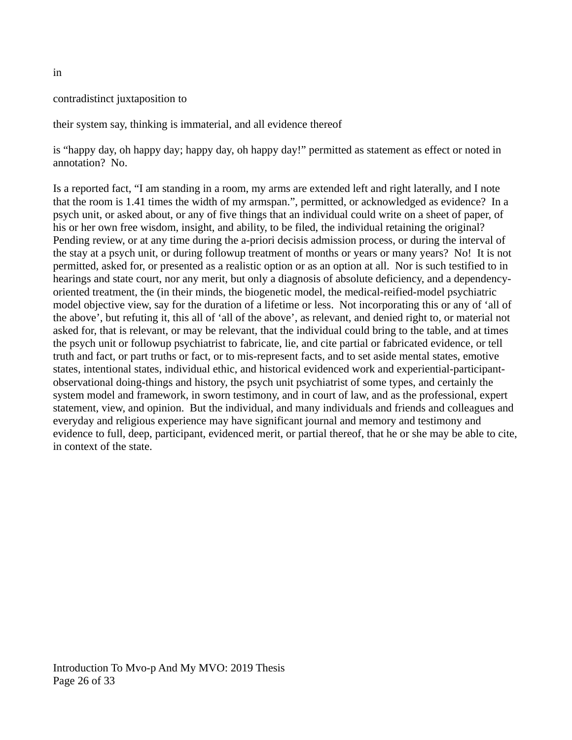#### contradistinct juxtaposition to

their system say, thinking is immaterial, and all evidence thereof

is "happy day, oh happy day; happy day, oh happy day!" permitted as statement as effect or noted in annotation? No.

Is a reported fact, "I am standing in a room, my arms are extended left and right laterally, and I note that the room is 1.41 times the width of my armspan.", permitted, or acknowledged as evidence? In a psych unit, or asked about, or any of five things that an individual could write on a sheet of paper, of his or her own free wisdom, insight, and ability, to be filed, the individual retaining the original? Pending review, or at any time during the a-priori decisis admission process, or during the interval of the stay at a psych unit, or during followup treatment of months or years or many years? No! It is not permitted, asked for, or presented as a realistic option or as an option at all. Nor is such testified to in hearings and state court, nor any merit, but only a diagnosis of absolute deficiency, and a dependencyoriented treatment, the (in their minds, the biogenetic model, the medical-reified-model psychiatric model objective view, say for the duration of a lifetime or less. Not incorporating this or any of 'all of the above', but refuting it, this all of 'all of the above', as relevant, and denied right to, or material not asked for, that is relevant, or may be relevant, that the individual could bring to the table, and at times the psych unit or followup psychiatrist to fabricate, lie, and cite partial or fabricated evidence, or tell truth and fact, or part truths or fact, or to mis-represent facts, and to set aside mental states, emotive states, intentional states, individual ethic, and historical evidenced work and experiential-participantobservational doing-things and history, the psych unit psychiatrist of some types, and certainly the system model and framework, in sworn testimony, and in court of law, and as the professional, expert statement, view, and opinion. But the individual, and many individuals and friends and colleagues and everyday and religious experience may have significant journal and memory and testimony and evidence to full, deep, participant, evidenced merit, or partial thereof, that he or she may be able to cite, in context of the state.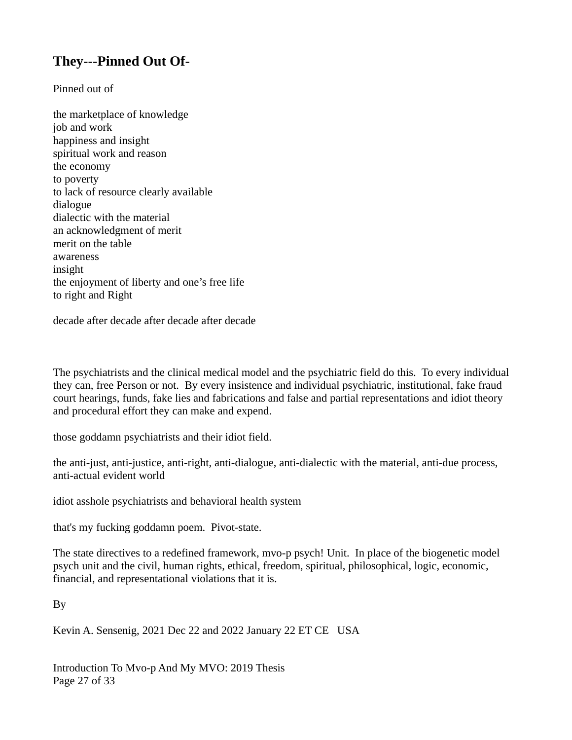### **They---Pinned Out Of-**

Pinned out of

the marketplace of knowledge job and work happiness and insight spiritual work and reason the economy to poverty to lack of resource clearly available dialogue dialectic with the material an acknowledgment of merit merit on the table awareness insight the enjoyment of liberty and one's free life to right and Right

decade after decade after decade after decade

The psychiatrists and the clinical medical model and the psychiatric field do this. To every individual they can, free Person or not. By every insistence and individual psychiatric, institutional, fake fraud court hearings, funds, fake lies and fabrications and false and partial representations and idiot theory and procedural effort they can make and expend.

those goddamn psychiatrists and their idiot field.

the anti-just, anti-justice, anti-right, anti-dialogue, anti-dialectic with the material, anti-due process, anti-actual evident world

idiot asshole psychiatrists and behavioral health system

that's my fucking goddamn poem. Pivot-state.

The state directives to a redefined framework, mvo-p psych! Unit. In place of the biogenetic model psych unit and the civil, human rights, ethical, freedom, spiritual, philosophical, logic, economic, financial, and representational violations that it is.

By

Kevin A. Sensenig, 2021 Dec 22 and 2022 January 22 ET CE USA

Introduction To Mvo-p And My MVO: 2019 Thesis Page 27 of 33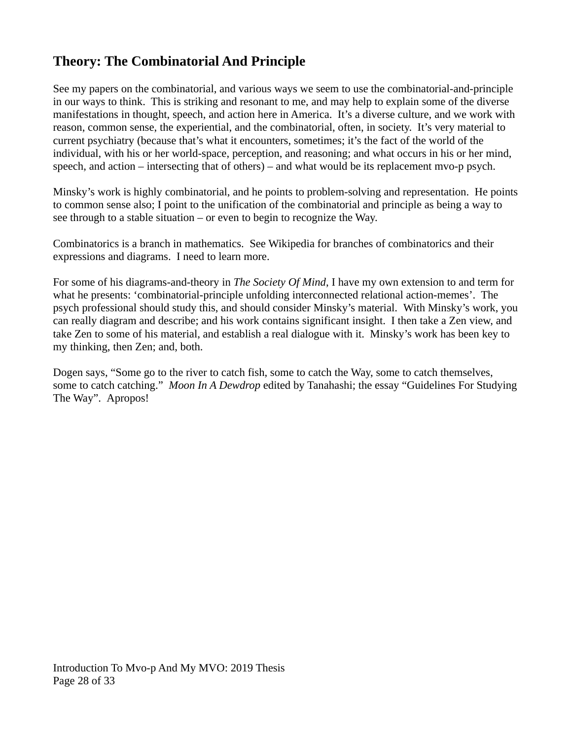### **Theory: The Combinatorial And Principle**

See my papers on the combinatorial, and various ways we seem to use the combinatorial-and-principle in our ways to think. This is striking and resonant to me, and may help to explain some of the diverse manifestations in thought, speech, and action here in America. It's a diverse culture, and we work with reason, common sense, the experiential, and the combinatorial, often, in society. It's very material to current psychiatry (because that's what it encounters, sometimes; it's the fact of the world of the individual, with his or her world-space, perception, and reasoning; and what occurs in his or her mind, speech, and action – intersecting that of others) – and what would be its replacement mvo-p psych.

Minsky's work is highly combinatorial, and he points to problem-solving and representation. He points to common sense also; I point to the unification of the combinatorial and principle as being a way to see through to a stable situation – or even to begin to recognize the Way.

Combinatorics is a branch in mathematics. See Wikipedia for branches of combinatorics and their expressions and diagrams. I need to learn more.

For some of his diagrams-and-theory in *The Society Of Mind*, I have my own extension to and term for what he presents: 'combinatorial-principle unfolding interconnected relational action-memes'. The psych professional should study this, and should consider Minsky's material. With Minsky's work, you can really diagram and describe; and his work contains significant insight. I then take a Zen view, and take Zen to some of his material, and establish a real dialogue with it. Minsky's work has been key to my thinking, then Zen; and, both.

Dogen says, "Some go to the river to catch fish, some to catch the Way, some to catch themselves, some to catch catching." *Moon In A Dewdrop* edited by Tanahashi; the essay "Guidelines For Studying The Way". Apropos!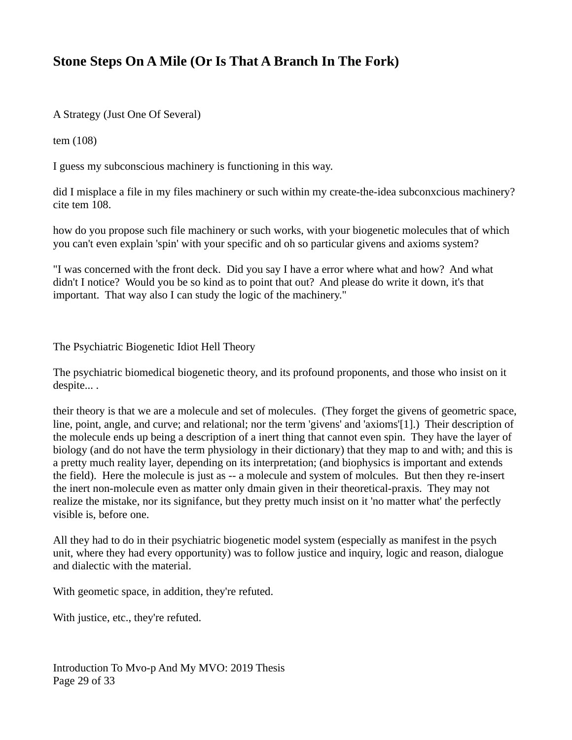### **Stone Steps On A Mile (Or Is That A Branch In The Fork)**

A Strategy (Just One Of Several)

tem (108)

I guess my subconscious machinery is functioning in this way.

did I misplace a file in my files machinery or such within my create-the-idea subconxcious machinery? cite tem 108.

how do you propose such file machinery or such works, with your biogenetic molecules that of which you can't even explain 'spin' with your specific and oh so particular givens and axioms system?

"I was concerned with the front deck. Did you say I have a error where what and how? And what didn't I notice? Would you be so kind as to point that out? And please do write it down, it's that important. That way also I can study the logic of the machinery."

The Psychiatric Biogenetic Idiot Hell Theory

The psychiatric biomedical biogenetic theory, and its profound proponents, and those who insist on it despite... .

their theory is that we are a molecule and set of molecules. (They forget the givens of geometric space, line, point, angle, and curve; and relational; nor the term 'givens' and 'axioms'[1].) Their description of the molecule ends up being a description of a inert thing that cannot even spin. They have the layer of biology (and do not have the term physiology in their dictionary) that they map to and with; and this is a pretty much reality layer, depending on its interpretation; (and biophysics is important and extends the field). Here the molecule is just as -- a molecule and system of molcules. But then they re-insert the inert non-molecule even as matter only dmain given in their theoretical-praxis. They may not realize the mistake, nor its signifance, but they pretty much insist on it 'no matter what' the perfectly visible is, before one.

All they had to do in their psychiatric biogenetic model system (especially as manifest in the psych unit, where they had every opportunity) was to follow justice and inquiry, logic and reason, dialogue and dialectic with the material.

With geometic space, in addition, they're refuted.

With justice, etc., they're refuted.

Introduction To Mvo-p And My MVO: 2019 Thesis Page 29 of 33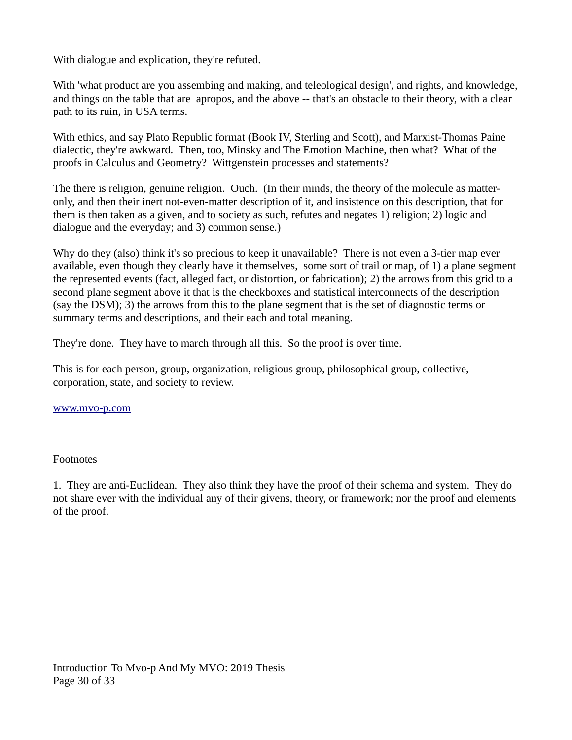With dialogue and explication, they're refuted.

With 'what product are you assembing and making, and teleological design', and rights, and knowledge, and things on the table that are apropos, and the above -- that's an obstacle to their theory, with a clear path to its ruin, in USA terms.

With ethics, and say Plato Republic format (Book IV, Sterling and Scott), and Marxist-Thomas Paine dialectic, they're awkward. Then, too, Minsky and The Emotion Machine, then what? What of the proofs in Calculus and Geometry? Wittgenstein processes and statements?

The there is religion, genuine religion. Ouch. (In their minds, the theory of the molecule as matteronly, and then their inert not-even-matter description of it, and insistence on this description, that for them is then taken as a given, and to society as such, refutes and negates 1) religion; 2) logic and dialogue and the everyday; and 3) common sense.)

Why do they (also) think it's so precious to keep it unavailable? There is not even a 3-tier map ever available, even though they clearly have it themselves, some sort of trail or map, of 1) a plane segment the represented events (fact, alleged fact, or distortion, or fabrication); 2) the arrows from this grid to a second plane segment above it that is the checkboxes and statistical interconnects of the description (say the DSM); 3) the arrows from this to the plane segment that is the set of diagnostic terms or summary terms and descriptions, and their each and total meaning.

They're done. They have to march through all this. So the proof is over time.

This is for each person, group, organization, religious group, philosophical group, collective, corporation, state, and society to review.

#### [www.mvo-p.com](http://www.mvo-p.com/)

#### Footnotes

1. They are anti-Euclidean. They also think they have the proof of their schema and system. They do not share ever with the individual any of their givens, theory, or framework; nor the proof and elements of the proof.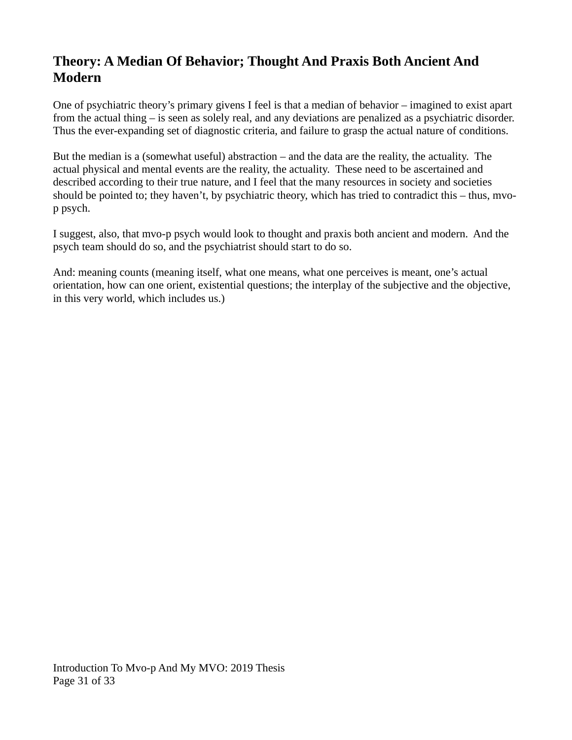### **Theory: A Median Of Behavior; Thought And Praxis Both Ancient And Modern**

One of psychiatric theory's primary givens I feel is that a median of behavior – imagined to exist apart from the actual thing – is seen as solely real, and any deviations are penalized as a psychiatric disorder. Thus the ever-expanding set of diagnostic criteria, and failure to grasp the actual nature of conditions.

But the median is a (somewhat useful) abstraction – and the data are the reality, the actuality. The actual physical and mental events are the reality, the actuality. These need to be ascertained and described according to their true nature, and I feel that the many resources in society and societies should be pointed to; they haven't, by psychiatric theory, which has tried to contradict this – thus, mvop psych.

I suggest, also, that mvo-p psych would look to thought and praxis both ancient and modern. And the psych team should do so, and the psychiatrist should start to do so.

And: meaning counts (meaning itself, what one means, what one perceives is meant, one's actual orientation, how can one orient, existential questions; the interplay of the subjective and the objective, in this very world, which includes us.)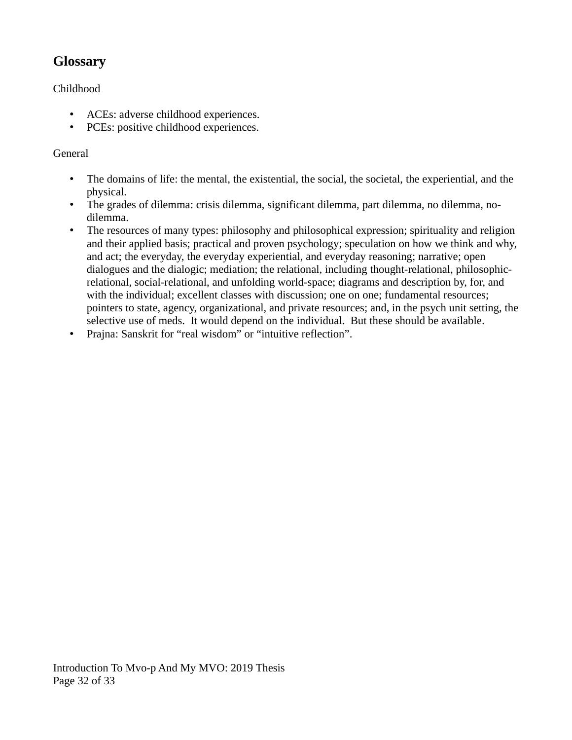### **Glossary**

#### Childhood

- ACEs: adverse childhood experiences.
- PCEs: positive childhood experiences.

#### General

- The domains of life: the mental, the existential, the social, the societal, the experiential, and the physical.
- The grades of dilemma: crisis dilemma, significant dilemma, part dilemma, no dilemma, nodilemma.
- The resources of many types: philosophy and philosophical expression; spirituality and religion and their applied basis; practical and proven psychology; speculation on how we think and why, and act; the everyday, the everyday experiential, and everyday reasoning; narrative; open dialogues and the dialogic; mediation; the relational, including thought-relational, philosophicrelational, social-relational, and unfolding world-space; diagrams and description by, for, and with the individual; excellent classes with discussion; one on one; fundamental resources; pointers to state, agency, organizational, and private resources; and, in the psych unit setting, the selective use of meds. It would depend on the individual. But these should be available.
- Prajna: Sanskrit for "real wisdom" or "intuitive reflection".